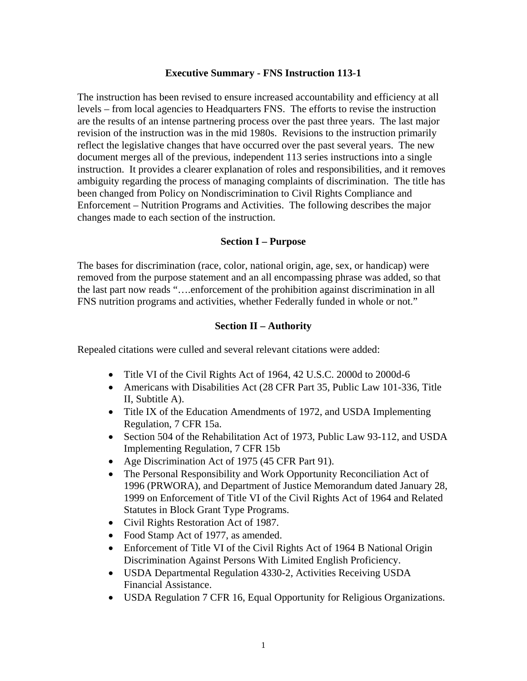#### **Executive Summary - FNS Instruction 113-1**

The instruction has been revised to ensure increased accountability and efficiency at all levels – from local agencies to Headquarters FNS. The efforts to revise the instruction are the results of an intense partnering process over the past three years. The last major revision of the instruction was in the mid 1980s. Revisions to the instruction primarily reflect the legislative changes that have occurred over the past several years. The new document merges all of the previous, independent 113 series instructions into a single instruction. It provides a clearer explanation of roles and responsibilities, and it removes ambiguity regarding the process of managing complaints of discrimination. The title has been changed from Policy on Nondiscrimination to Civil Rights Compliance and Enforcement – Nutrition Programs and Activities. The following describes the major changes made to each section of the instruction.

#### **Section I – Purpose**

The bases for discrimination (race, color, national origin, age, sex, or handicap) were removed from the purpose statement and an all encompassing phrase was added, so that the last part now reads "….enforcement of the prohibition against discrimination in all FNS nutrition programs and activities, whether Federally funded in whole or not."

#### **Section II – Authority**

Repealed citations were culled and several relevant citations were added:

- Title VI of the Civil Rights Act of 1964, 42 U.S.C. 2000d to 2000d-6
- Americans with Disabilities Act (28 CFR Part 35, Public Law 101-336, Title II, Subtitle A).
- Title IX of the Education Amendments of 1972, and USDA Implementing Regulation, 7 CFR 15a.
- Section 504 of the Rehabilitation Act of 1973, Public Law 93-112, and USDA Implementing Regulation, 7 CFR 15b
- Age Discrimination Act of 1975 (45 CFR Part 91).
- The Personal Responsibility and Work Opportunity Reconciliation Act of 1996 (PRWORA), and Department of Justice Memorandum dated January 28, 1999 on Enforcement of Title VI of the Civil Rights Act of 1964 and Related Statutes in Block Grant Type Programs.
- Civil Rights Restoration Act of 1987.
- Food Stamp Act of 1977, as amended.
- Enforcement of Title VI of the Civil Rights Act of 1964 B National Origin Discrimination Against Persons With Limited English Proficiency.
- USDA Departmental Regulation 4330-2, Activities Receiving USDA Financial Assistance.
- USDA Regulation 7 CFR 16, Equal Opportunity for Religious Organizations.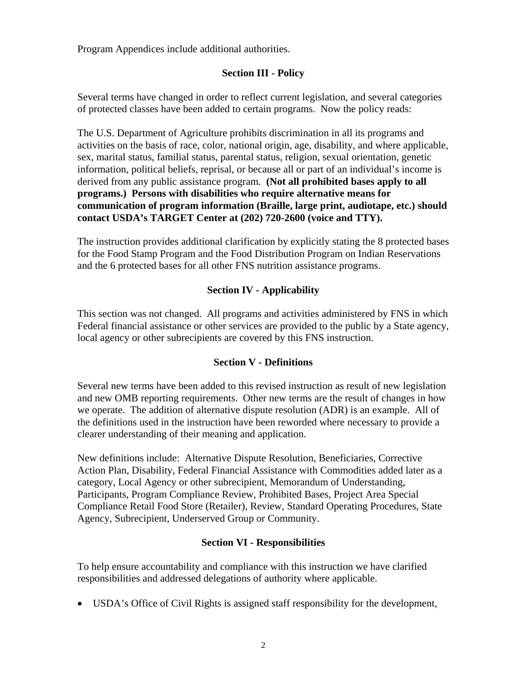Program Appendices include additional authorities.

## **Section III - Policy**

Several terms have changed in order to reflect current legislation, and several categories of protected classes have been added to certain programs. Now the policy reads:

The U.S. Department of Agriculture prohibits discrimination in all its programs and activities on the basis of race, color, national origin, age, disability, and where applicable, sex, marital status, familial status, parental status, religion, sexual orientation, genetic information, political beliefs, reprisal, or because all or part of an individual's income is derived from any public assistance program. **(Not all prohibited bases apply to all programs.) Persons with disabilities who require alternative means for communication of program information (Braille, large print, audiotape, etc.) should contact USDA's TARGET Center at (202) 720-2600 (voice and TTY).** 

The instruction provides additional clarification by explicitly stating the 8 protected bases for the Food Stamp Program and the Food Distribution Program on Indian Reservations and the 6 protected bases for all other FNS nutrition assistance programs.

## **Section IV - Applicability**

This section was not changed. All programs and activities administered by FNS in which Federal financial assistance or other services are provided to the public by a State agency, local agency or other subrecipients are covered by this FNS instruction.

### **Section V - Definitions**

Several new terms have been added to this revised instruction as result of new legislation and new OMB reporting requirements. Other new terms are the result of changes in how we operate. The addition of alternative dispute resolution (ADR) is an example. All of the definitions used in the instruction have been reworded where necessary to provide a clearer understanding of their meaning and application.

New definitions include: Alternative Dispute Resolution, Beneficiaries, Corrective Action Plan, Disability, Federal Financial Assistance with Commodities added later as a category, Local Agency or other subrecipient, Memorandum of Understanding, Participants, Program Compliance Review, Prohibited Bases, Project Area Special Compliance Retail Food Store (Retailer), Review, Standard Operating Procedures, State Agency, Subrecipient, Underserved Group or Community.

### **Section VI - Responsibilities**

To help ensure accountability and compliance with this instruction we have clarified responsibilities and addressed delegations of authority where applicable.

• USDA's Office of Civil Rights is assigned staff responsibility for the development,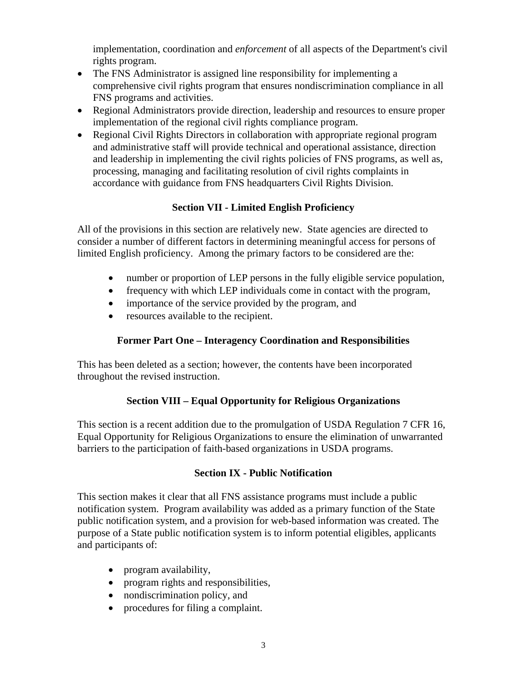implementation, coordination and *enforcement* of all aspects of the Department's civil rights program.

- The FNS Administrator is assigned line responsibility for implementing a comprehensive civil rights program that ensures nondiscrimination compliance in all FNS programs and activities.
- Regional Administrators provide direction, leadership and resources to ensure proper implementation of the regional civil rights compliance program.
- Regional Civil Rights Directors in collaboration with appropriate regional program and administrative staff will provide technical and operational assistance, direction and leadership in implementing the civil rights policies of FNS programs, as well as, processing, managing and facilitating resolution of civil rights complaints in accordance with guidance from FNS headquarters Civil Rights Division.

## **Section VII - Limited English Proficiency**

All of the provisions in this section are relatively new. State agencies are directed to consider a number of different factors in determining meaningful access for persons of limited English proficiency. Among the primary factors to be considered are the:

- number or proportion of LEP persons in the fully eligible service population,
- frequency with which LEP individuals come in contact with the program,
- importance of the service provided by the program, and
- resources available to the recipient.

# **Former Part One – Interagency Coordination and Responsibilities**

This has been deleted as a section; however, the contents have been incorporated throughout the revised instruction.

# **Section VIII – Equal Opportunity for Religious Organizations**

This section is a recent addition due to the promulgation of USDA Regulation 7 CFR 16, Equal Opportunity for Religious Organizations to ensure the elimination of unwarranted barriers to the participation of faith-based organizations in USDA programs.

### **Section IX - Public Notification**

This section makes it clear that all FNS assistance programs must include a public notification system. Program availability was added as a primary function of the State public notification system, and a provision for web-based information was created. The purpose of a State public notification system is to inform potential eligibles, applicants and participants of:

- program availability,
- program rights and responsibilities,
- nondiscrimination policy, and
- procedures for filing a complaint.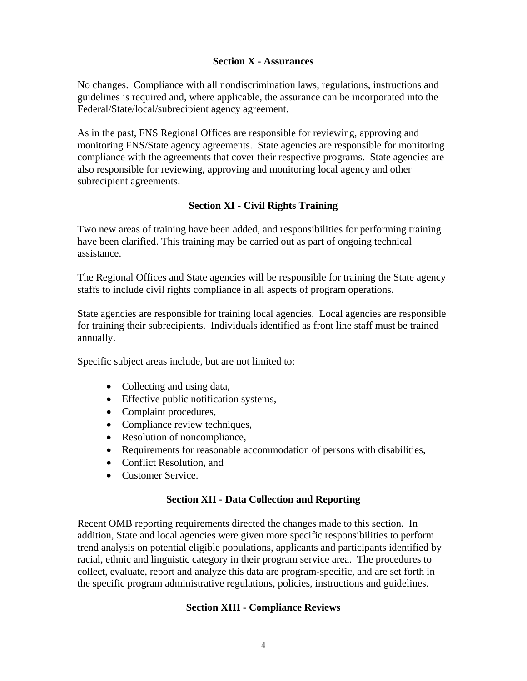#### **Section X - Assurances**

No changes. Compliance with all nondiscrimination laws, regulations, instructions and guidelines is required and, where applicable, the assurance can be incorporated into the Federal/State/local/subrecipient agency agreement.

As in the past, FNS Regional Offices are responsible for reviewing, approving and monitoring FNS/State agency agreements. State agencies are responsible for monitoring compliance with the agreements that cover their respective programs. State agencies are also responsible for reviewing, approving and monitoring local agency and other subrecipient agreements.

## **Section XI - Civil Rights Training**

Two new areas of training have been added, and responsibilities for performing training have been clarified. This training may be carried out as part of ongoing technical assistance.

The Regional Offices and State agencies will be responsible for training the State agency staffs to include civil rights compliance in all aspects of program operations.

State agencies are responsible for training local agencies. Local agencies are responsible for training their subrecipients. Individuals identified as front line staff must be trained annually.

Specific subject areas include, but are not limited to:

- Collecting and using data,
- Effective public notification systems,
- Complaint procedures,
- Compliance review techniques,
- Resolution of noncompliance,
- Requirements for reasonable accommodation of persons with disabilities,
- Conflict Resolution, and
- Customer Service

### **Section XII - Data Collection and Reporting**

Recent OMB reporting requirements directed the changes made to this section. In addition, State and local agencies were given more specific responsibilities to perform trend analysis on potential eligible populations, applicants and participants identified by racial, ethnic and linguistic category in their program service area. The procedures to collect, evaluate, report and analyze this data are program-specific, and are set forth in the specific program administrative regulations, policies, instructions and guidelines.

### **Section XIII - Compliance Reviews**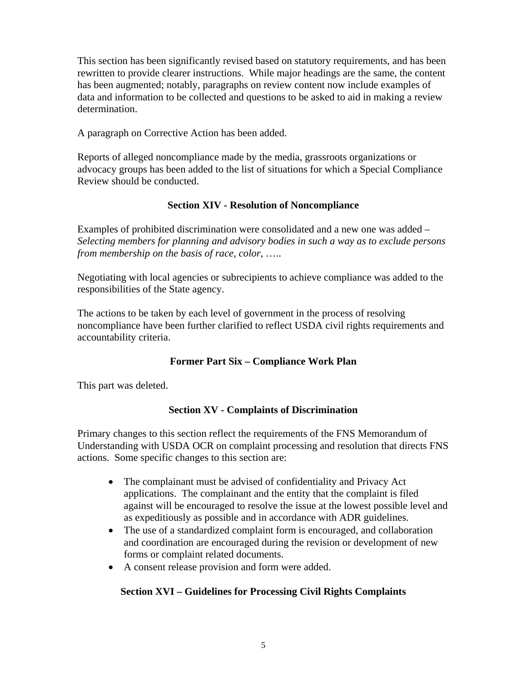This section has been significantly revised based on statutory requirements, and has been rewritten to provide clearer instructions. While major headings are the same, the content has been augmented; notably, paragraphs on review content now include examples of data and information to be collected and questions to be asked to aid in making a review determination.

A paragraph on Corrective Action has been added.

Reports of alleged noncompliance made by the media, grassroots organizations or advocacy groups has been added to the list of situations for which a Special Compliance Review should be conducted.

### **Section XIV - Resolution of Noncompliance**

Examples of prohibited discrimination were consolidated and a new one was added – *Selecting members for planning and advisory bodies in such a way as to exclude persons from membership on the basis of race, color,* …..

Negotiating with local agencies or subrecipients to achieve compliance was added to the responsibilities of the State agency.

The actions to be taken by each level of government in the process of resolving noncompliance have been further clarified to reflect USDA civil rights requirements and accountability criteria.

# **Former Part Six – Compliance Work Plan**

This part was deleted.

### **Section XV - Complaints of Discrimination**

Primary changes to this section reflect the requirements of the FNS Memorandum of Understanding with USDA OCR on complaint processing and resolution that directs FNS actions. Some specific changes to this section are:

- The complainant must be advised of confidentiality and Privacy Act applications. The complainant and the entity that the complaint is filed against will be encouraged to resolve the issue at the lowest possible level and as expeditiously as possible and in accordance with ADR guidelines.
- The use of a standardized complaint form is encouraged, and collaboration and coordination are encouraged during the revision or development of new forms or complaint related documents.
- A consent release provision and form were added.

# **Section XVI – Guidelines for Processing Civil Rights Complaints**